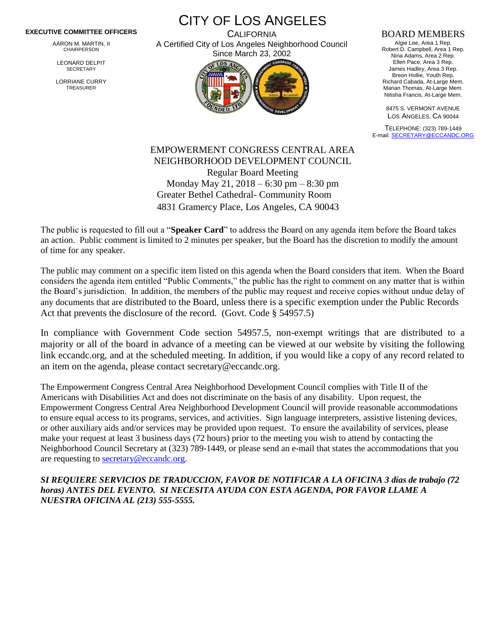## **EXECUTIVE COMMITTEE OFFICERS**

AARON M. MARTIN, II CHAIRPERSON

LEONARD DELPIT **SECRETARY** 

LORRIANE CURRY TREASURER

CITY OF LOS ANGELES **CALIFORNIA** A Certified City of Los Angeles Neighborhood Council

Since March 23, 2002

## BOARD MEMBERS

Algie Lee, Area 1 Rep. Robert D. Campbell, Area 1 Rep. Nina Adams, Area 2 Rep. Ellen Pace, Area 3 Rep. James Hadley, Area 3 Rep. Breon Hollie, Youth Rep. Richard Cabada, At-Large Mem. Marian Thomas, At-Large Mem. Nitisha Francis, At-Large Mem.

8475 S. VERMONT AVENUE LOS ANGELES, CA 90044

TELEPHONE: (323) 789-1449 E-mail[: SECRETARY@ECCANDC.ORG](mailto:SECRETARY@ECCANDC.ORG)

## EMPOWERMENT CONGRESS CENTRAL AREA NEIGHBORHOOD DEVELOPMENT COUNCIL Regular Board Meeting Monday May 21, 2018 – 6:30 pm – 8:30 pm Greater Bethel Cathedral- Community Room 4831 Gramercy Place, Los Angeles, CA 90043

The public is requested to fill out a "**Speaker Card**" to address the Board on any agenda item before the Board takes an action. Public comment is limited to 2 minutes per speaker, but the Board has the discretion to modify the amount of time for any speaker.

The public may comment on a specific item listed on this agenda when the Board considers that item. When the Board considers the agenda item entitled "Public Comments," the public has the right to comment on any matter that is within the Board's jurisdiction. In addition, the members of the public may request and receive copies without undue delay of any documents that are distributed to the Board, unless there is a specific exemption under the Public Records Act that prevents the disclosure of the record. (Govt. Code § 54957.5)

In compliance with Government Code section 54957.5, non-exempt writings that are distributed to a majority or all of the board in advance of a meeting can be viewed at our website by visiting the following link eccandc.org, and at the scheduled meeting. In addition, if you would like a copy of any record related to an item on the agenda, please contact secretary@eccandc.org.

The Empowerment Congress Central Area Neighborhood Development Council complies with Title II of the Americans with Disabilities Act and does not discriminate on the basis of any disability. Upon request, the Empowerment Congress Central Area Neighborhood Development Council will provide reasonable accommodations to ensure equal access to its programs, services, and activities. Sign language interpreters, assistive listening devices, or other auxiliary aids and/or services may be provided upon request. To ensure the availability of services, please make your request at least 3 business days (72 hours) prior to the meeting you wish to attend by contacting the Neighborhood Council Secretary at (323) 789-1449, or please send an e-mail that states the accommodations that you are requesting to **secretary@eccandc.org**.

*SI REQUIERE SERVICIOS DE TRADUCCION, FAVOR DE NOTIFICAR A LA OFICINA 3 días de trabajo (72 horas) ANTES DEL EVENTO. SI NECESITA AYUDA CON ESTA AGENDA, POR FAVOR LLAME A NUESTRA OFICINA AL (213) 555-5555.*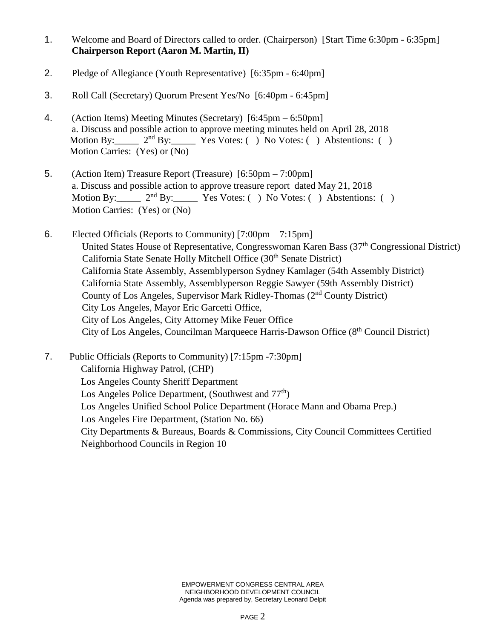- 1. Welcome and Board of Directors called to order. (Chairperson) [Start Time 6:30pm 6:35pm] **Chairperson Report (Aaron M. Martin, II)**
- 2. Pledge of Allegiance (Youth Representative) [6:35pm 6:40pm]
- 3. Roll Call (Secretary) Quorum Present Yes/No [6:40pm 6:45pm]
- 4. (Action Items) Meeting Minutes (Secretary) [6:45pm 6:50pm] a. Discuss and possible action to approve meeting minutes held on April 28, 2018 Motion By:  $2<sup>nd</sup> By: Yes Votes: ( ) No Votes: ( ) Abstentions: ( )$ Motion Carries: (Yes) or (No)
- 5. (Action Item) Treasure Report (Treasure) [6:50pm 7:00pm] a. Discuss and possible action to approve treasure report dated May 21, 2018 Motion By:  $2<sup>nd</sup> By: Yes Votes: () No Votes: () Abstentions: ()$ Motion Carries: (Yes) or (No)
- 6. Elected Officials (Reports to Community) [7:00pm 7:15pm] United States House of Representative, Congresswoman Karen Bass (37<sup>th</sup> Congressional District) California State Senate Holly Mitchell Office (30th Senate District) California State Assembly, Assemblyperson Sydney Kamlager (54th Assembly District) California State Assembly, Assemblyperson Reggie Sawyer (59th Assembly District) County of Los Angeles, Supervisor Mark Ridley-Thomas (2nd County District) City Los Angeles, Mayor Eric Garcetti Office, City of Los Angeles, City Attorney Mike Feuer Office City of Los Angeles, Councilman Marqueece Harris-Dawson Office (8th Council District)
- 7. Public Officials (Reports to Community) [7:15pm -7:30pm] California Highway Patrol, (CHP) Los Angeles County Sheriff Department Los Angeles Police Department, (Southwest and  $77<sup>th</sup>$ ) Los Angeles Unified School Police Department (Horace Mann and Obama Prep.) Los Angeles Fire Department, (Station No. 66) City Departments & Bureaus, Boards & Commissions, City Council Committees Certified Neighborhood Councils in Region 10